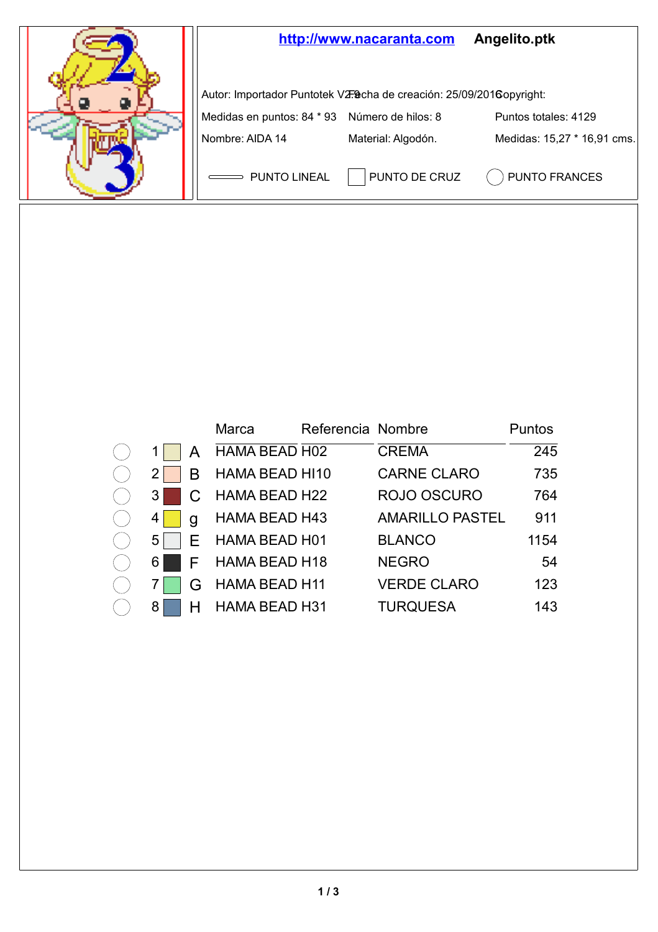

| 1                       | l      |
|-------------------------|--------|
| $\overline{\mathbf{c}}$ | E      |
| 3                       | C      |
| 4                       |        |
| 5                       | s<br>E |
| 6                       | F      |
| 7                       | ĺ      |
|                         |        |

|                |   | Marca                | Referencia Nombre |                        | Puntos |
|----------------|---|----------------------|-------------------|------------------------|--------|
| 1 <sup>1</sup> | A | HAMA BEAD H02        |                   | <b>CREMA</b>           | 245    |
| ا 2            | в | HAMA BEAD HI10       |                   | <b>CARNE CLARO</b>     | 735    |
| 3              |   | HAMA BEAD H22        |                   | ROJO OSCURO            | 764    |
| 4              | a | HAMA BEAD H43        |                   | <b>AMARILLO PASTEL</b> | 911    |
| 5              |   | E HAMA BEAD H01      |                   | <b>BLANCO</b>          | 1154   |
| 6 I            |   | F HAMA BEAD H18      |                   | <b>NEGRO</b>           | 54     |
| 71             | G | <b>HAMA BEAD H11</b> |                   | <b>VERDE CLARO</b>     | 123    |
| 81             |   | <b>HAMA BEAD H31</b> |                   | <b>TURQUESA</b>        | 143    |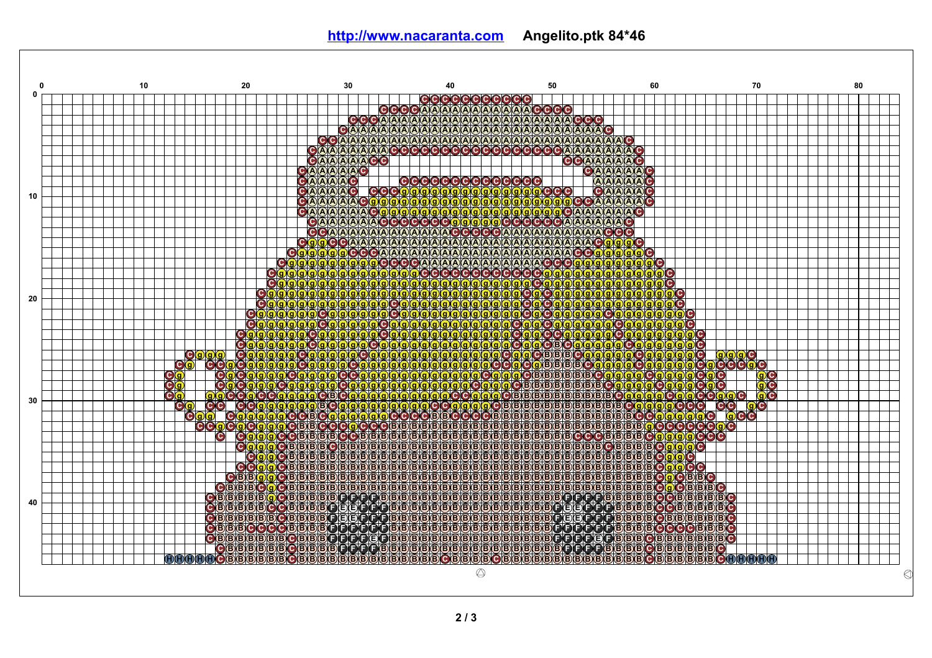**htt p ://ww w [.naca](http://www.nacaranta.com) ran t a .com Angelit o . p t k 84 \*46**

| 10<br>n            | 20<br>30                                                                                                                                        | 40                                                       | 50                                                                                                                                                                                                                             | 60                                                               | 70       | 80 |
|--------------------|-------------------------------------------------------------------------------------------------------------------------------------------------|----------------------------------------------------------|--------------------------------------------------------------------------------------------------------------------------------------------------------------------------------------------------------------------------------|------------------------------------------------------------------|----------|----|
|                    |                                                                                                                                                 | <b>CCCCCCCCCCCCC</b>                                     |                                                                                                                                                                                                                                |                                                                  |          |    |
|                    |                                                                                                                                                 | GGGGAAAAAAAAAAAAA<br><b>OOOAAAAAAAAAAAAAAAAAAAAAAOOO</b> | (C)C)C)C)                                                                                                                                                                                                                      |                                                                  |          |    |
|                    | GAAAAAAAA                                                                                                                                       | AA<br>AAAAAAAAA                                          | AAAAAAAAAAAAAAG                                                                                                                                                                                                                |                                                                  |          |    |
|                    | A.A.<br><b>AAA</b>                                                                                                                              | XAXA.<br><b>AIA</b><br><b>AIA AIA AIA AIA AIA</b>        | AAAA                                                                                                                                                                                                                           | AAAAG                                                            |          |    |
|                    | GAAAAAAAA                                                                                                                                       | rc)                                                      | CCCCCCCCCCCCCCCC                                                                                                                                                                                                               | <b>AAO</b>                                                       |          |    |
|                    | GAAAAAAGG                                                                                                                                       |                                                          | GAAAA                                                                                                                                                                                                                          | <b>AAC</b>                                                       |          |    |
|                    | AAAAAAG                                                                                                                                         |                                                          |                                                                                                                                                                                                                                | GAAAAAAAG                                                        |          |    |
|                    | <b>AAAAO</b>                                                                                                                                    |                                                          |                                                                                                                                                                                                                                |                                                                  |          |    |
| 10                 |                                                                                                                                                 | OOOOOOOOOOOOOOO<br>QQQQQQQQQQQQQQQ                       |                                                                                                                                                                                                                                | AAAAA                                                            |          |    |
|                    |                                                                                                                                                 |                                                          |                                                                                                                                                                                                                                | AAAA                                                             |          |    |
|                    |                                                                                                                                                 |                                                          | AAAAAAAC                                                                                                                                                                                                                       |                                                                  |          |    |
|                    |                                                                                                                                                 |                                                          |                                                                                                                                                                                                                                | <b>A</b> C                                                       |          |    |
|                    | GAAAAAAA                                                                                                                                        | AAAAAAACCCCCCAAAAAAAAAAA                                 |                                                                                                                                                                                                                                |                                                                  |          |    |
|                    | O(g)<br><b>Ogggggooooooo</b>                                                                                                                    | <b>CCAAAAAAAAAAAAAAAAAAAAAAAAAAA</b>                     |                                                                                                                                                                                                                                | <b>QQC</b>                                                       |          |    |
|                    | c.                                                                                                                                              | <b>AAAAAAAAAAAA</b>                                      | $(A)$ $(A)$ $(A)$                                                                                                                                                                                                              | 0 9 9 9 9 9                                                      |          |    |
|                    |                                                                                                                                                 |                                                          | 9999999                                                                                                                                                                                                                        |                                                                  |          |    |
|                    | <u>(g) g</u>                                                                                                                                    |                                                          |                                                                                                                                                                                                                                |                                                                  |          |    |
|                    |                                                                                                                                                 |                                                          | <b>ggogogogo</b><br>gogogogog                                                                                                                                                                                                  | ľС,                                                              |          |    |
| 20                 | Θ<br>(g)(g)(g)                                                                                                                                  |                                                          |                                                                                                                                                                                                                                | $\mathbf{c}$                                                     |          |    |
|                    | <b>Oggggggg</b><br>g(g)                                                                                                                         | Ō                                                        | <b>RO</b><br>O(g)g(g)g                                                                                                                                                                                                         | rc.<br>gXgXg                                                     |          |    |
|                    | <u>(g)</u>                                                                                                                                      |                                                          |                                                                                                                                                                                                                                | [C]                                                              |          |    |
|                    | <b>QQQ</b><br>QCQ<br>$\mathbf{g}(\mathbf{g})$<br>$\mathbf{e}_{\mathbf{e}}^{\mathbf{e}}$<br>999                                                  | <u>(g)</u>                                               | $\frac{\textcolor{red}{\textcolor{blue}{\textcolor{blue}{\textbf{C}\textbf{0}\textbf{0}}}}} {\textcolor{blue}{\textcolor{blue}{\textbf{C}\textbf{0}\textbf{0}}}}$<br><b>CC</b><br>$\left(9\right)\left(9\right)\left(9\right)$ | rc.                                                              |          |    |
| с                  | <b>g</b> g g g                                                                                                                                  | Q(Q)<br>(g)                                              | C (B)                                                                                                                                                                                                                          | YС                                                               |          |    |
| Ŏ<br>c.            |                                                                                                                                                 |                                                          | <b>B</b> <sub>B</sub><br>C)<br><u>(g) g</u>                                                                                                                                                                                    | (g)(g)                                                           |          |    |
| c<br><b>eg</b>     |                                                                                                                                                 |                                                          | <b>BBC</b><br>(B)(B)<br>(g)                                                                                                                                                                                                    | 90<br>$g/g$ $\odot$                                              | C)<br>C) |    |
|                    |                                                                                                                                                 |                                                          | ®                                                                                                                                                                                                                              |                                                                  |          |    |
| C                  |                                                                                                                                                 |                                                          | ŒВ<br>$(B)$ $(B)$                                                                                                                                                                                                              | <b>BBBCgggggC</b>                                                |          |    |
| 30<br>C)           | <u>la Cola Calalalalalalo Colo chelo cola lal</u><br>la Cola Calalalalalalalala Cola Lolalalalal                                                | C<br>B)                                                  | ίB.<br>Œ.                                                                                                                                                                                                                      | <b>BBBB</b>                                                      |          |    |
| O(g)               |                                                                                                                                                 | (B)(B)                                                   | (B)<br>Œ.<br>(B)<br>Β,<br>(B)(B)                                                                                                                                                                                               | G                                                                |          |    |
| o<br><b>AOG</b>    | <b>CBBCCCC</b><br><b>QCCCBBBB</b>                                                                                                               | <b>BBB</b><br><b>BBBBB</b><br>(B)                        | XBXB)<br>$B$ $(B)$ $(B)$<br>$(B)$ $(B)$<br>(B)<br>B)                                                                                                                                                                           | (B)B)B                                                           |          |    |
| <b>DO</b><br>C)    | (B)(B)<br>(В.<br>(C)<br>(a Xa                                                                                                                   | ß<br>G)<br>B(B)                                          | <b>BBBOOOBBBBOOOG</b><br>(B)(B)(B)(B)                                                                                                                                                                                          | <b>g</b> g c                                                     |          |    |
| Ō,                 | B(B)<br>ß.<br>G.<br>c.<br>B)                                                                                                                    | ß.<br>ß)                                                 | (B)(B)<br>ÍВ                                                                                                                                                                                                                   | <b>CBBBBBC</b><br>rc.                                            |          |    |
|                    | BXB<br>r.<br>C.<br>aXa                                                                                                                          | B)<br>BIB<br>BIBIBIB<br>(B)                              | (B)B<br>(B)B)<br><b>BIBIB</b><br>ſΒ.<br>ß.                                                                                                                                                                                     | <b>B</b> BBC<br>B)<br>C.                                         |          |    |
|                    | (B)<br>BXB)<br><b>BIBIBIB</b>                                                                                                                   | (BXBXB)<br>BIB                                           | G)<br>(B) B) B)<br><b>BIBIB</b><br>(B)(B)                                                                                                                                                                                      | <b>B</b> BBBB<br>[C][C]                                          |          |    |
| C(B)               | BYB.<br>(B) B) B)<br>(B) (B)<br>B)<br>(В)                                                                                                       | ß)<br>KB KB<br>B)                                        | 888888888888888888888888888                                                                                                                                                                                                    | <b>CBBC</b>                                                      |          |    |
| $O(B)$ $B$ $(B)$   | BXB)<br><b>BIBIBIBIB</b><br>(B) B) B)<br>lC)                                                                                                    | <b>B.B.B.B</b>                                           | 888888888888888888888888                                                                                                                                                                                                       | <b>BBBBB</b><br><b>CBBBC</b>                                     |          |    |
| <b>OBBBB</b><br>40 | B)                                                                                                                                              | <b>CBBBBBCCCCCBBBBBBBBBBBBBBBBBBBBCCCCB</b>              |                                                                                                                                                                                                                                | <b>BBBBCC</b><br><b>BBBBBC</b>                                   |          |    |
| <b>CBBBBBC</b>     | BOBBBFEGGFFF)                                                                                                                                   | BBBBBBBBBBBBBBBBBBBBFC161F1F1F1                          |                                                                                                                                                                                                                                | <b>BBBBBBC</b><br>Ē<br>(B) B) B)                                 |          |    |
|                    | CBBBBBCCBBBBCEBCCCD<br>CBBBCCCCBBBBCCCCCD                                                                                                       | <u> Karabara (Karabara) kata da </u><br><b>BB</b>        | 18888888888888CCCCCC                                                                                                                                                                                                           | <b>BBBBBBC</b><br>(B) B) B)<br><b>C B</b><br><b>CCBBBC</b><br>Œ. |          |    |
|                    | <b>CBBBCCCCCC</b><br><b>OB</b> BBBBBBBB                                                                                                         | <b>B.B.B.B</b>                                           | <b>OOOOOOOOOOOOFFFFFFF</b>                                                                                                                                                                                                     | <b>B</b> BBC<br>(Β<br>B.<br>B                                    |          |    |
|                    |                                                                                                                                                 |                                                          |                                                                                                                                                                                                                                | CBBBBBBC                                                         |          |    |
| <b>HOBBB</b>       | , Censieles Censier-Frichesses en seles seus seles de la crétrière sel<br>10 de seles de seus de seus seus seus censier de seus de seus de seus |                                                          |                                                                                                                                                                                                                                | Œ.<br>(B<br>ß.<br>(B) B) B                                       |          |    |
|                    |                                                                                                                                                 |                                                          |                                                                                                                                                                                                                                |                                                                  |          |    |
|                    |                                                                                                                                                 |                                                          |                                                                                                                                                                                                                                |                                                                  |          |    |
|                    |                                                                                                                                                 |                                                          |                                                                                                                                                                                                                                |                                                                  |          |    |